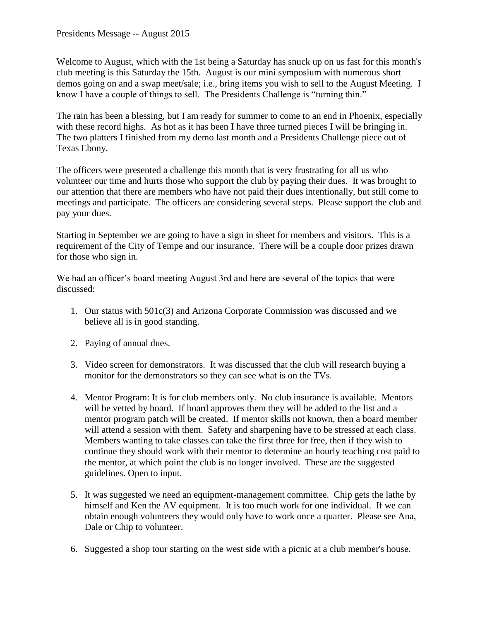Welcome to August, which with the 1st being a Saturday has snuck up on us fast for this month's club meeting is this Saturday the 15th. August is our mini symposium with numerous short demos going on and a swap meet/sale; i.e., bring items you wish to sell to the August Meeting. I know I have a couple of things to sell. The Presidents Challenge is "turning thin."

The rain has been a blessing, but I am ready for summer to come to an end in Phoenix, especially with these record highs. As hot as it has been I have three turned pieces I will be bringing in. The two platters I finished from my demo last month and a Presidents Challenge piece out of Texas Ebony.

The officers were presented a challenge this month that is very frustrating for all us who volunteer our time and hurts those who support the club by paying their dues. It was brought to our attention that there are members who have not paid their dues intentionally, but still come to meetings and participate. The officers are considering several steps. Please support the club and pay your dues.

Starting in September we are going to have a sign in sheet for members and visitors. This is a requirement of the City of Tempe and our insurance. There will be a couple door prizes drawn for those who sign in.

We had an officer's board meeting August 3rd and here are several of the topics that were discussed:

- 1. Our status with 501c(3) and Arizona Corporate Commission was discussed and we believe all is in good standing.
- 2. Paying of annual dues.
- 3. Video screen for demonstrators. It was discussed that the club will research buying a monitor for the demonstrators so they can see what is on the TVs.
- 4. Mentor Program: It is for club members only. No club insurance is available. Mentors will be vetted by board. If board approves them they will be added to the list and a mentor program patch will be created. If mentor skills not known, then a board member will attend a session with them. Safety and sharpening have to be stressed at each class. Members wanting to take classes can take the first three for free, then if they wish to continue they should work with their mentor to determine an hourly teaching cost paid to the mentor, at which point the club is no longer involved. These are the suggested guidelines. Open to input.
- 5. It was suggested we need an equipment-management committee. Chip gets the lathe by himself and Ken the AV equipment. It is too much work for one individual. If we can obtain enough volunteers they would only have to work once a quarter. Please see Ana, Dale or Chip to volunteer.
- 6. Suggested a shop tour starting on the west side with a picnic at a club member's house.